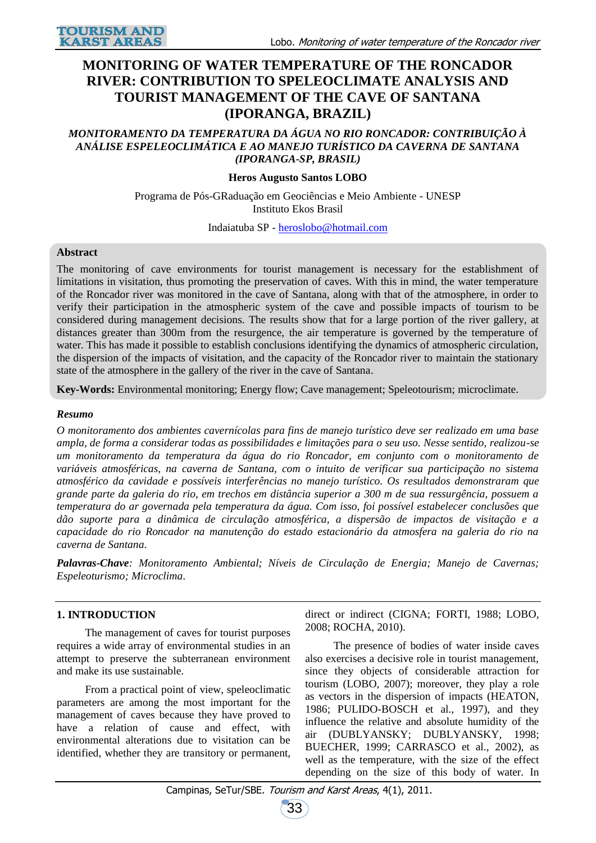# **MONITORING OF WATER TEMPERATURE OF THE RONCADOR RIVER: CONTRIBUTION TO SPELEOCLIMATE ANALYSIS AND TOURIST MANAGEMENT OF THE CAVE OF SANTANA (IPORANGA, BRAZIL)**

### *MONITORAMENTO DA TEMPERATURA DA ÁGUA NO RIO RONCADOR: CONTRIBUIÇÃO À ANÁLISE ESPELEOCLIMÁTICA E AO MANEJO TURÍSTICO DA CAVERNA DE SANTANA (IPORANGA-SP, BRASIL)*

### **Heros Augusto Santos LOBO**

Programa de Pós-GRaduação em Geociências e Meio Ambiente - UNESP Instituto Ekos Brasil

#### Indaiatuba SP - [heroslobo@hotmail.com](mailto:heroslobo@hotmail.com)

#### **Abstract**

The monitoring of cave environments for tourist management is necessary for the establishment of limitations in visitation, thus promoting the preservation of caves. With this in mind, the water temperature of the Roncador river was monitored in the cave of Santana, along with that of the atmosphere, in order to verify their participation in the atmospheric system of the cave and possible impacts of tourism to be considered during management decisions. The results show that for a large portion of the river gallery, at distances greater than 300m from the resurgence, the air temperature is governed by the temperature of water. This has made it possible to establish conclusions identifying the dynamics of atmospheric circulation, the dispersion of the impacts of visitation, and the capacity of the Roncador river to maintain the stationary state of the atmosphere in the gallery of the river in the cave of Santana.

**Key-Words:** Environmental monitoring; Energy flow; Cave management; Speleotourism; microclimate.

#### *Resumo*

*O monitoramento dos ambientes cavernícolas para fins de manejo turístico deve ser realizado em uma base ampla, de forma a considerar todas as possibilidades e limitações para o seu uso. Nesse sentido, realizou-se um monitoramento da temperatura da água do rio Roncador, em conjunto com o monitoramento de variáveis atmosféricas, na caverna de Santana, com o intuito de verificar sua participação no sistema atmosférico da cavidade e possíveis interferências no manejo turístico. Os resultados demonstraram que grande parte da galeria do rio, em trechos em distância superior a 300 m de sua ressurgência, possuem a temperatura do ar governada pela temperatura da água. Com isso, foi possível estabelecer conclusões que dão suporte para a dinâmica de circulação atmosférica, a dispersão de impactos de visitação e a capacidade do rio Roncador na manutenção do estado estacionário da atmosfera na galeria do rio na caverna de Santana.*

*Palavras-Chave: Monitoramento Ambiental; Níveis de Circulação de Energia; Manejo de Cavernas; Espeleoturismo; Microclima.*

### **1. INTRODUCTION**

The management of caves for tourist purposes requires a wide array of environmental studies in an attempt to preserve the subterranean environment and make its use sustainable.

From a practical point of view, speleoclimatic parameters are among the most important for the management of caves because they have proved to have a relation of cause and effect, with environmental alterations due to visitation can be identified, whether they are transitory or permanent,

direct or indirect (CIGNA; FORTI, 1988; LOBO, 2008; ROCHA, 2010).

The presence of bodies of water inside caves also exercises a decisive role in tourist management, since they objects of considerable attraction for tourism (LOBO, 2007); moreover, they play a role as vectors in the dispersion of impacts (HEATON, 1986; PULIDO-BOSCH et al., 1997), and they influence the relative and absolute humidity of the air (DUBLYANSKY; DUBLYANSKY, 1998; BUECHER, 1999; CARRASCO et al., 2002), as well as the temperature, with the size of the effect depending on the size of this body of water. In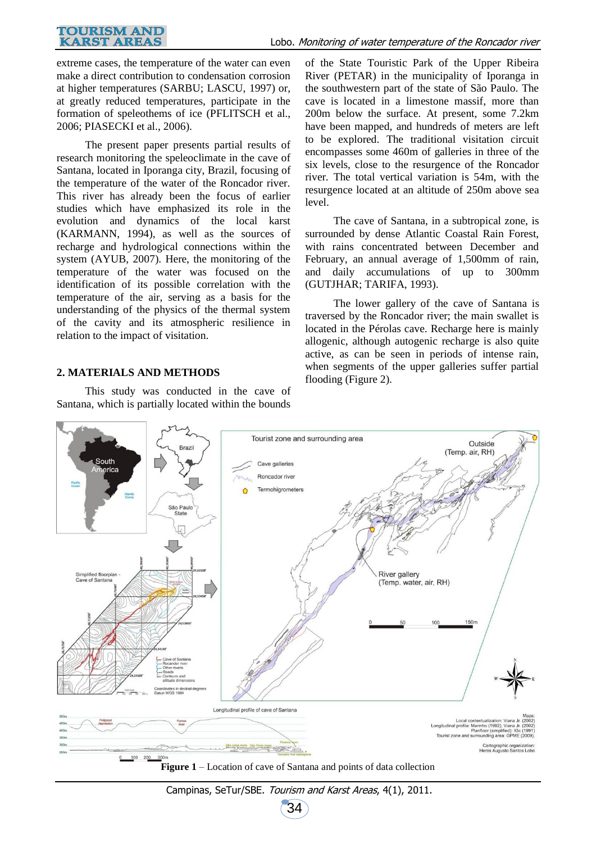### Lobo. Monitoring of water temperature of the Roncador river

extreme cases, the temperature of the water can even make a direct contribution to condensation corrosion at higher temperatures (SARBU; LASCU, 1997) or, at greatly reduced temperatures, participate in the formation of speleothems of ice (PFLITSCH et al., 2006; PIASECKI et al., 2006).

The present paper presents partial results of research monitoring the speleoclimate in the cave of Santana, located in Iporanga city, Brazil, focusing of the temperature of the water of the Roncador river. This river has already been the focus of earlier studies which have emphasized its role in the evolution and dynamics of the local karst (KARMANN, 1994), as well as the sources of recharge and hydrological connections within the system (AYUB, 2007). Here, the monitoring of the temperature of the water was focused on the identification of its possible correlation with the temperature of the air, serving as a basis for the understanding of the physics of the thermal system of the cavity and its atmospheric resilience in relation to the impact of visitation.

### **2. MATERIALS AND METHODS**

This study was conducted in the cave of Santana, which is partially located within the bounds

of the State Touristic Park of the Upper Ribeira River (PETAR) in the municipality of Iporanga in the southwestern part of the state of São Paulo. The cave is located in a limestone massif, more than 200m below the surface. At present, some 7.2km have been mapped, and hundreds of meters are left to be explored. The traditional visitation circuit encompasses some 460m of galleries in three of the six levels, close to the resurgence of the Roncador river. The total vertical variation is 54m, with the resurgence located at an altitude of 250m above sea level.

The cave of Santana, in a subtropical zone, is surrounded by dense Atlantic Coastal Rain Forest, with rains concentrated between December and February, an annual average of 1,500mm of rain, and daily accumulations of up to 300mm (GUTJHAR; TARIFA, 1993).

The lower gallery of the cave of Santana is traversed by the Roncador river; the main swallet is located in the Pérolas cave. Recharge here is mainly allogenic, although autogenic recharge is also quite active, as can be seen in periods of intense rain, when segments of the upper galleries suffer partial flooding (Figure 2).

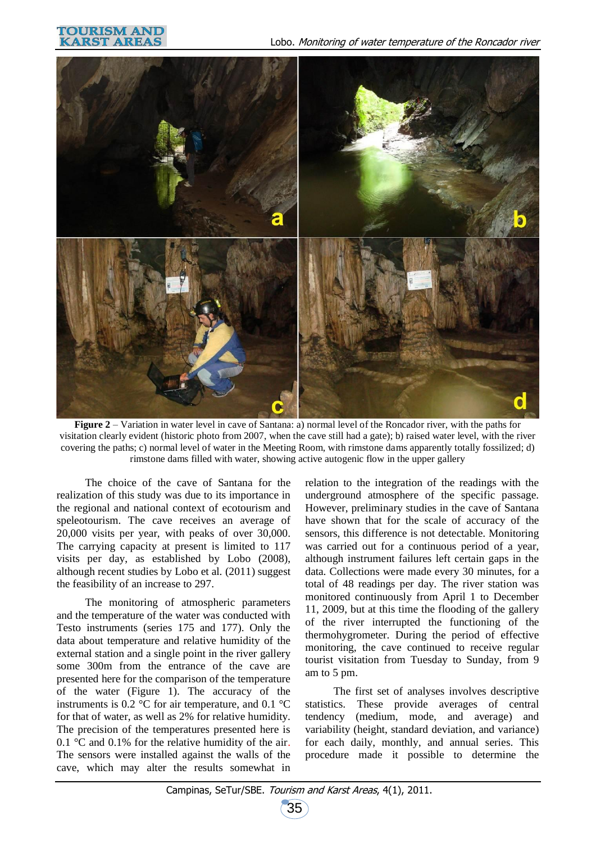



**Figure 2** – Variation in water level in cave of Santana: a) normal level of the Roncador river, with the paths for visitation clearly evident (historic photo from 2007, when the cave still had a gate); b) raised water level, with the river covering the paths; c) normal level of water in the Meeting Room, with rimstone dams apparently totally fossilized; d) rimstone dams filled with water, showing active autogenic flow in the upper gallery

The choice of the cave of Santana for the realization of this study was due to its importance in the regional and national context of ecotourism and speleotourism. The cave receives an average of 20,000 visits per year, with peaks of over 30,000. The carrying capacity at present is limited to 117 visits per day, as established by Lobo (2008), although recent studies by Lobo et al. (2011) suggest the feasibility of an increase to 297.

The monitoring of atmospheric parameters and the temperature of the water was conducted with Testo instruments (series 175 and 177). Only the data about temperature and relative humidity of the external station and a single point in the river gallery some 300m from the entrance of the cave are presented here for the comparison of the temperature of the water (Figure 1). The accuracy of the instruments is 0.2  $\degree$ C for air temperature, and 0.1  $\degree$ C for that of water, as well as 2% for relative humidity. The precision of the temperatures presented here is 0.1 °C and 0.1% for the relative humidity of the air. The sensors were installed against the walls of the cave, which may alter the results somewhat in

relation to the integration of the readings with the underground atmosphere of the specific passage. However, preliminary studies in the cave of Santana have shown that for the scale of accuracy of the sensors, this difference is not detectable. Monitoring was carried out for a continuous period of a year, although instrument failures left certain gaps in the data. Collections were made every 30 minutes, for a total of 48 readings per day. The river station was monitored continuously from April 1 to December 11, 2009, but at this time the flooding of the gallery of the river interrupted the functioning of the thermohygrometer. During the period of effective monitoring, the cave continued to receive regular tourist visitation from Tuesday to Sunday, from 9 am to 5 pm.

The first set of analyses involves descriptive statistics. These provide averages of central tendency (medium, mode, and average) and variability (height, standard deviation, and variance) for each daily, monthly, and annual series. This procedure made it possible to determine the

35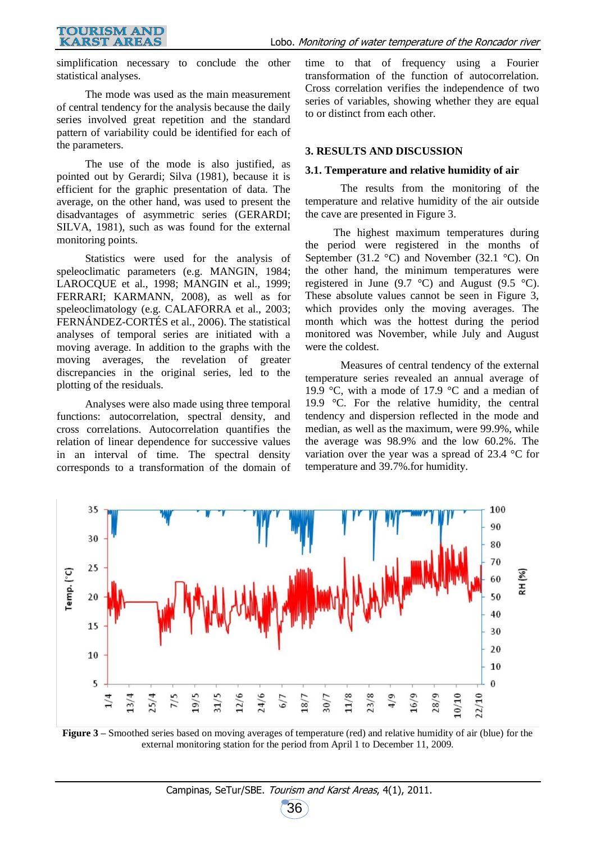simplification necessary to conclude the other statistical analyses.

The mode was used as the main measurement of central tendency for the analysis because the daily series involved great repetition and the standard pattern of variability could be identified for each of the parameters.

The use of the mode is also justified, as pointed out by Gerardi; Silva (1981), because it is efficient for the graphic presentation of data. The average, on the other hand, was used to present the disadvantages of asymmetric series (GERARDI; SILVA, 1981), such as was found for the external monitoring points.

Statistics were used for the analysis of speleoclimatic parameters (e.g. MANGIN, 1984; LAROCQUE et al., 1998; MANGIN et al., 1999; FERRARI; KARMANN, 2008), as well as for speleoclimatology (e.g. CALAFORRA et al., 2003; FERNÁNDEZ-CORTÉS et al., 2006). The statistical analyses of temporal series are initiated with a moving average. In addition to the graphs with the moving averages, the revelation of greater discrepancies in the original series, led to the plotting of the residuals.

Analyses were also made using three temporal functions: autocorrelation, spectral density, and cross correlations. Autocorrelation quantifies the relation of linear dependence for successive values in an interval of time. The spectral density corresponds to a transformation of the domain of

time to that of frequency using a Fourier transformation of the function of autocorrelation. Cross correlation verifies the independence of two series of variables, showing whether they are equal to or distinct from each other.

#### **3. RESULTS AND DISCUSSION**

## **3.1. Temperature and relative humidity of air**

The results from the monitoring of the temperature and relative humidity of the air outside the cave are presented in Figure 3.

The highest maximum temperatures during the period were registered in the months of September (31.2  $\degree$ C) and November (32.1  $\degree$ C). On the other hand, the minimum temperatures were registered in June (9.7  $^{\circ}$ C) and August (9.5  $^{\circ}$ C). These absolute values cannot be seen in Figure 3, which provides only the moving averages. The month which was the hottest during the period monitored was November, while July and August were the coldest.

Measures of central tendency of the external temperature series revealed an annual average of 19.9 °C, with a mode of 17.9 °C and a median of 19.9 °C. For the relative humidity, the central tendency and dispersion reflected in the mode and median, as well as the maximum, were 99.9%, while the average was 98.9% and the low 60.2%. The variation over the year was a spread of 23.4 °C for temperature and 39.7%.for humidity.



**Figure 3 –** Smoothed series based on moving averages of temperature (red) and relative humidity of air (blue) for the external monitoring station for the period from April 1 to December 11, 2009.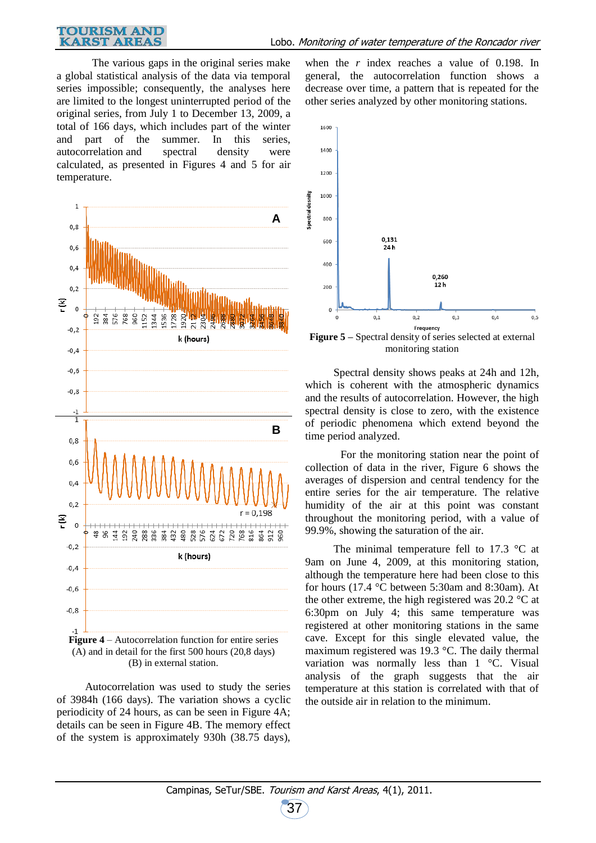#### **TOURISM AND KARST AREAS**

The various gaps in the original series make a global statistical analysis of the data via temporal series impossible; consequently, the analyses here are limited to the longest uninterrupted period of the original series, from July 1 to December 13, 2009, a total of 166 days, which includes part of the winter and part of the summer. In this series, autocorrelation and spectral density were calculated, as presented in Figures 4 and 5 for air temperature.



(A) and in detail for the first 500 hours (20,8 days) (B) in external station.

Autocorrelation was used to study the series of 3984h (166 days). The variation shows a cyclic periodicity of 24 hours, as can be seen in Figure 4A; details can be seen in Figure 4B. The memory effect of the system is approximately 930h (38.75 days),

when the *r* index reaches a value of 0.198. In general, the autocorrelation function shows a decrease over time, a pattern that is repeated for the other series analyzed by other monitoring stations.



**Figure 5 –** Spectral density of series selected at external monitoring station

Spectral density shows peaks at 24h and 12h, which is coherent with the atmospheric dynamics and the results of autocorrelation. However, the high spectral density is close to zero, with the existence of periodic phenomena which extend beyond the time period analyzed.

For the monitoring station near the point of collection of data in the river, Figure 6 shows the averages of dispersion and central tendency for the entire series for the air temperature. The relative humidity of the air at this point was constant throughout the monitoring period, with a value of 99.9%, showing the saturation of the air.

The minimal temperature fell to 17.3  $\degree$ C at 9am on June 4, 2009, at this monitoring station, although the temperature here had been close to this for hours (17.4 °C between 5:30am and 8:30am). At the other extreme, the high registered was 20.2 °C at 6:30pm on July 4; this same temperature was registered at other monitoring stations in the same cave. Except for this single elevated value, the maximum registered was 19.3 °C. The daily thermal variation was normally less than 1 °C. Visual analysis of the graph suggests that the air temperature at this station is correlated with that of the outside air in relation to the minimum.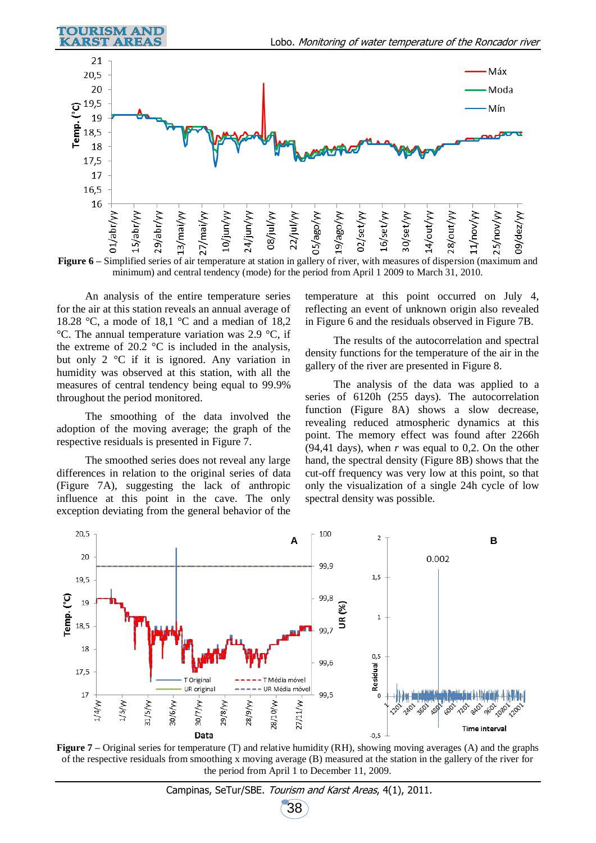

**Figure 6 –** Simplified series of air temperature at station in gallery of river, with measures of dispersion (maximum and minimum) and central tendency (mode) for the period from April 1 2009 to March 31, 2010.

An analysis of the entire temperature series for the air at this station reveals an annual average of 18.28 °C, a mode of 18,1 °C and a median of 18,2 °C. The annual temperature variation was 2.9 °C, if the extreme of 20.2  $\degree$ C is included in the analysis, but only 2 °C if it is ignored. Any variation in humidity was observed at this station, with all the measures of central tendency being equal to 99.9% throughout the period monitored.

The smoothing of the data involved the adoption of the moving average; the graph of the respective residuals is presented in Figure 7.

The smoothed series does not reveal any large differences in relation to the original series of data (Figure 7A), suggesting the lack of anthropic influence at this point in the cave. The only exception deviating from the general behavior of the

temperature at this point occurred on July 4, reflecting an event of unknown origin also revealed in Figure 6 and the residuals observed in Figure 7B.

The results of the autocorrelation and spectral density functions for the temperature of the air in the gallery of the river are presented in Figure 8.

The analysis of the data was applied to a series of 6120h (255 days). The autocorrelation function (Figure 8A) shows a slow decrease, revealing reduced atmospheric dynamics at this point. The memory effect was found after 2266h (94,41 days), when  $r$  was equal to 0,2. On the other hand, the spectral density (Figure 8B) shows that the cut-off frequency was very low at this point, so that only the visualization of a single 24h cycle of low spectral density was possible.



**Figure 7 –** Original series for temperature (T) and relative humidity (RH), showing moving averages (A) and the graphs of the respective residuals from smoothing x moving average (B) measured at the station in the gallery of the river for the period from April 1 to December 11, 2009.

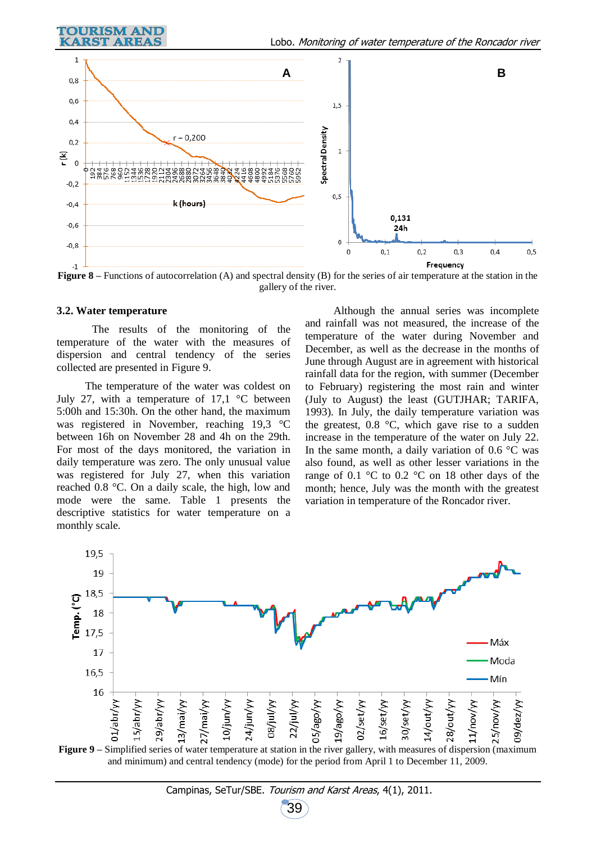



**Figure 8** – Functions of autocorrelation (A) and spectral density (B) for the series of air temperature at the station in the gallery of the river.

#### **3.2. Water temperature**

The results of the monitoring of the temperature of the water with the measures of dispersion and central tendency of the series collected are presented in Figure 9.

The temperature of the water was coldest on July 27, with a temperature of 17,1  $\degree$ C between 5:00h and 15:30h. On the other hand, the maximum was registered in November, reaching 19,3 °C between 16h on November 28 and 4h on the 29th. For most of the days monitored, the variation in daily temperature was zero. The only unusual value was registered for July 27, when this variation reached 0.8 °C. On a daily scale, the high, low and mode were the same. Table 1 presents the descriptive statistics for water temperature on a monthly scale.

Although the annual series was incomplete and rainfall was not measured, the increase of the temperature of the water during November and December, as well as the decrease in the months of June through August are in agreement with historical rainfall data for the region, with summer (December to February) registering the most rain and winter (July to August) the least (GUTJHAR; TARIFA, 1993). In July, the daily temperature variation was the greatest,  $0.8 \text{ °C}$ , which gave rise to a sudden increase in the temperature of the water on July 22. In the same month, a daily variation of  $0.6 \degree C$  was also found, as well as other lesser variations in the range of 0.1 °C to 0.2 °C on 18 other days of the month; hence, July was the month with the greatest variation in temperature of the Roncador river.



**Figure 9 –** Simplified series of water temperature at station in the river gallery, with measures of dispersion (maximum and minimum) and central tendency (mode) for the period from April 1 to December 11, 2009.

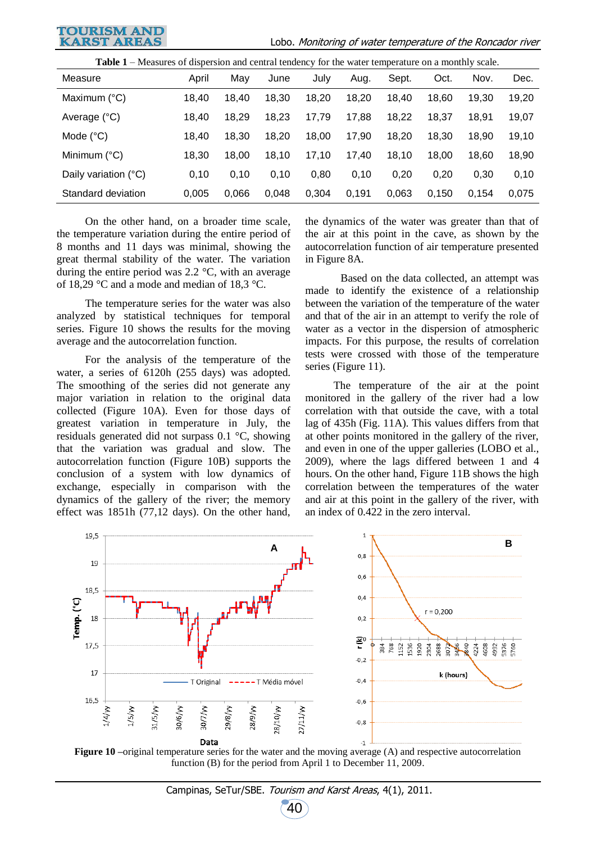

Lobo. Monitoring of water temperature of the Roncador river

| <b>Table 1</b> – Measures of dispersion and central tendency for the water temperature on a monthly scale. |       |       |       |       |       |       |       |       |       |
|------------------------------------------------------------------------------------------------------------|-------|-------|-------|-------|-------|-------|-------|-------|-------|
| Measure                                                                                                    | April | May   | June  | July  | Aug.  | Sept. | Oct.  | Nov.  | Dec.  |
| Maximum $(^{\circ}C)$                                                                                      | 18,40 | 18,40 | 18,30 | 18,20 | 18,20 | 18.40 | 18,60 | 19,30 | 19,20 |
| Average (°C)                                                                                               | 18,40 | 18,29 | 18,23 | 17.79 | 17,88 | 18,22 | 18.37 | 18,91 | 19,07 |
| Mode $(^{\circ}C)$                                                                                         | 18.40 | 18,30 | 18.20 | 18.00 | 17,90 | 18.20 | 18.30 | 18.90 | 19,10 |
| Minimum (°C)                                                                                               | 18,30 | 18,00 | 18,10 | 17,10 | 17.40 | 18.10 | 18.00 | 18,60 | 18,90 |
| Daily variation (°C)                                                                                       | 0,10  | 0,10  | 0,10  | 0,80  | 0,10  | 0,20  | 0,20  | 0,30  | 0,10  |
| Standard deviation                                                                                         | 0,005 | 0,066 | 0.048 | 0,304 | 0.191 | 0,063 | 0.150 | 0,154 | 0,075 |

On the other hand, on a broader time scale, the temperature variation during the entire period of 8 months and 11 days was minimal, showing the great thermal stability of the water. The variation during the entire period was 2.2 °C, with an average of 18,29 °C and a mode and median of 18,3 °C.

The temperature series for the water was also analyzed by statistical techniques for temporal series. Figure 10 shows the results for the moving average and the autocorrelation function.

For the analysis of the temperature of the water, a series of 6120h (255 days) was adopted. The smoothing of the series did not generate any major variation in relation to the original data collected (Figure 10A). Even for those days of greatest variation in temperature in July, the residuals generated did not surpass 0.1 °C, showing that the variation was gradual and slow. The autocorrelation function (Figure 10B) supports the conclusion of a system with low dynamics of exchange, especially in comparison with the dynamics of the gallery of the river; the memory effect was 1851h (77,12 days). On the other hand,

the dynamics of the water was greater than that of the air at this point in the cave, as shown by the autocorrelation function of air temperature presented in Figure 8A.

Based on the data collected, an attempt was made to identify the existence of a relationship between the variation of the temperature of the water and that of the air in an attempt to verify the role of water as a vector in the dispersion of atmospheric impacts. For this purpose, the results of correlation tests were crossed with those of the temperature series (Figure 11).

The temperature of the air at the point monitored in the gallery of the river had a low correlation with that outside the cave, with a total lag of 435h (Fig. 11A). This values differs from that at other points monitored in the gallery of the river, and even in one of the upper galleries (LOBO et al., 2009), where the lags differed between 1 and 4 hours. On the other hand, Figure 11B shows the high correlation between the temperatures of the water and air at this point in the gallery of the river, with an index of 0.422 in the zero interval.



**Figure 10 –**original temperature series for the water and the moving average (A) and respective autocorrelation function (B) for the period from April 1 to December 11, 2009.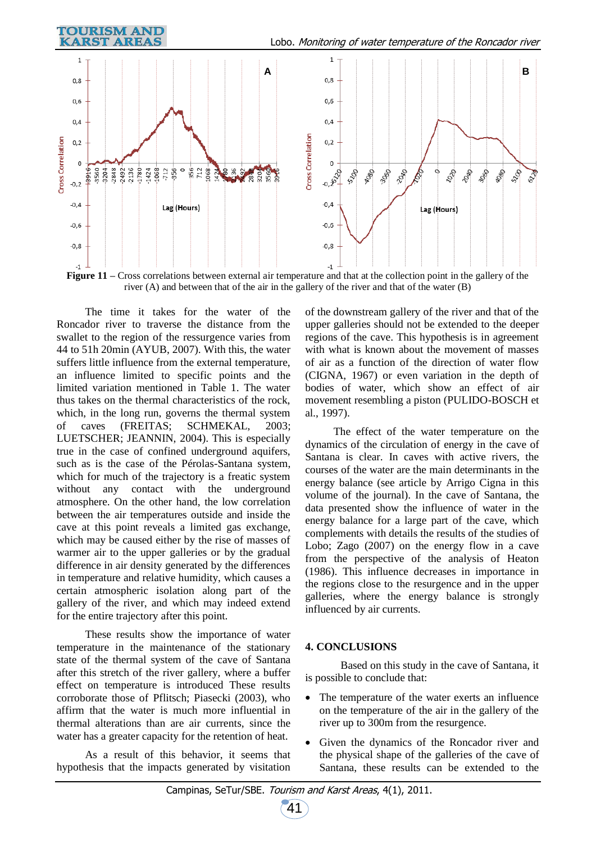

river (A) and between that of the air in the gallery of the river and that of the water (B)

The time it takes for the water of the Roncador river to traverse the distance from the swallet to the region of the ressurgence varies from 44 to 51h 20min (AYUB, 2007). With this, the water suffers little influence from the external temperature, an influence limited to specific points and the limited variation mentioned in Table 1. The water thus takes on the thermal characteristics of the rock, which, in the long run, governs the thermal system of caves (FREITAS; SCHMEKAL, 2003; LUETSCHER; JEANNIN, 2004). This is especially true in the case of confined underground aquifers, such as is the case of the Pérolas-Santana system, which for much of the trajectory is a freatic system without any contact with the underground atmosphere. On the other hand, the low correlation between the air temperatures outside and inside the cave at this point reveals a limited gas exchange, which may be caused either by the rise of masses of warmer air to the upper galleries or by the gradual difference in air density generated by the differences in temperature and relative humidity, which causes a certain atmospheric isolation along part of the gallery of the river, and which may indeed extend for the entire trajectory after this point.

These results show the importance of water temperature in the maintenance of the stationary state of the thermal system of the cave of Santana after this stretch of the river gallery, where a buffer effect on temperature is introduced These results corroborate those of Pflitsch; Piasecki (2003), who affirm that the water is much more influential in thermal alterations than are air currents, since the water has a greater capacity for the retention of heat.

As a result of this behavior, it seems that hypothesis that the impacts generated by visitation

of the downstream gallery of the river and that of the upper galleries should not be extended to the deeper regions of the cave. This hypothesis is in agreement with what is known about the movement of masses of air as a function of the direction of water flow (CIGNA, 1967) or even variation in the depth of bodies of water, which show an effect of air movement resembling a piston (PULIDO-BOSCH et al., 1997).

The effect of the water temperature on the dynamics of the circulation of energy in the cave of Santana is clear. In caves with active rivers, the courses of the water are the main determinants in the energy balance (see article by Arrigo Cigna in this volume of the journal). In the cave of Santana, the data presented show the influence of water in the energy balance for a large part of the cave, which complements with details the results of the studies of Lobo; Zago (2007) on the energy flow in a cave from the perspective of the analysis of Heaton (1986). This influence decreases in importance in the regions close to the resurgence and in the upper galleries, where the energy balance is strongly influenced by air currents.

### **4. CONCLUSIONS**

Based on this study in the cave of Santana, it is possible to conclude that:

- The temperature of the water exerts an influence on the temperature of the air in the gallery of the river up to 300m from the resurgence.
- Given the dynamics of the Roncador river and the physical shape of the galleries of the cave of Santana, these results can be extended to the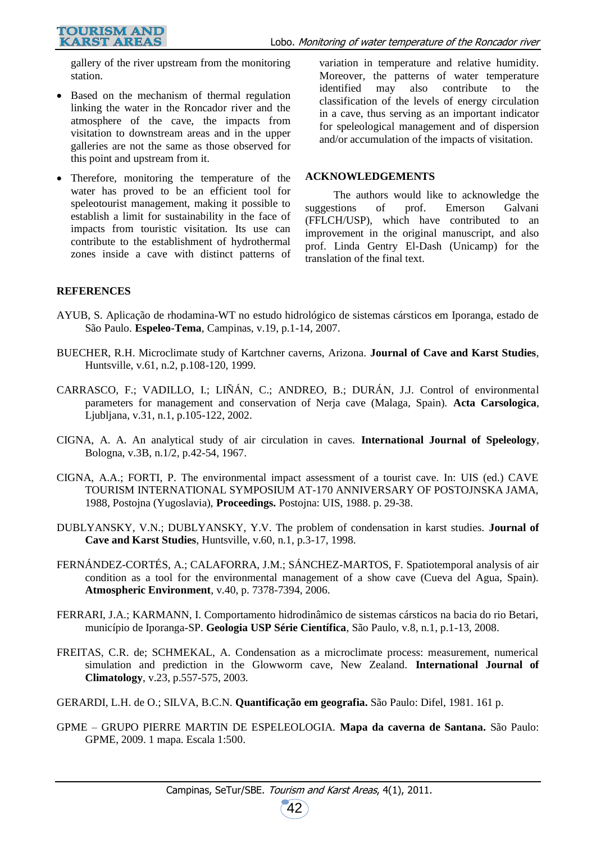gallery of the river upstream from the monitoring station.

- Based on the mechanism of thermal regulation linking the water in the Roncador river and the atmosphere of the cave, the impacts from visitation to downstream areas and in the upper galleries are not the same as those observed for this point and upstream from it.
- Therefore, monitoring the temperature of the water has proved to be an efficient tool for speleotourist management, making it possible to establish a limit for sustainability in the face of impacts from touristic visitation. Its use can contribute to the establishment of hydrothermal zones inside a cave with distinct patterns of

variation in temperature and relative humidity. Moreover, the patterns of water temperature identified may also contribute to the classification of the levels of energy circulation in a cave, thus serving as an important indicator for speleological management and of dispersion and/or accumulation of the impacts of visitation.

### **ACKNOWLEDGEMENTS**

The authors would like to acknowledge the suggestions of prof. Emerson Galvani (FFLCH/USP), which have contributed to an improvement in the original manuscript, and also prof. Linda Gentry El-Dash (Unicamp) for the translation of the final text.

### **REFERENCES**

- AYUB, S. Aplicação de rhodamina-WT no estudo hidrológico de sistemas cársticos em Iporanga, estado de São Paulo. **Espeleo-Tema**, Campinas, v.19, p.1-14, 2007.
- BUECHER, R.H. Microclimate study of Kartchner caverns, Arizona. **Journal of Cave and Karst Studies**, Huntsville, v.61, n.2, p.108-120, 1999.
- CARRASCO, F.; VADILLO, I.; LIÑÁN, C.; ANDREO, B.; DURÁN, J.J. Control of environmental parameters for management and conservation of Nerja cave (Malaga, Spain). **Acta Carsologica**, Ljubljana, v.31, n.1, p.105-122, 2002.
- CIGNA, A. A. An analytical study of air circulation in caves. **International Journal of Speleology**, Bologna, v.3B, n.1/2, p.42-54, 1967.
- CIGNA, A.A.; FORTI, P. The environmental impact assessment of a tourist cave. In: UIS (ed.) CAVE TOURISM INTERNATIONAL SYMPOSIUM AT-170 ANNIVERSARY OF POSTOJNSKA JAMA, 1988, Postojna (Yugoslavia), **Proceedings.** Postojna: UIS, 1988. p. 29-38.
- DUBLYANSKY, V.N.; DUBLYANSKY, Y.V. The problem of condensation in karst studies. **Journal of Cave and Karst Studies**, Huntsville, v.60, n.1, p.3-17, 1998.
- FERNÁNDEZ-CORTÉS, A.; CALAFORRA, J.M.; SÁNCHEZ-MARTOS, F. Spatiotemporal analysis of air condition as a tool for the environmental management of a show cave (Cueva del Agua, Spain). **Atmospheric Environment**, v.40, p. 7378-7394, 2006.
- FERRARI, J.A.; KARMANN, I. Comportamento hidrodinâmico de sistemas cársticos na bacia do rio Betari, município de Iporanga-SP. **Geologia USP Série Científica**, São Paulo, v.8, n.1, p.1-13, 2008.
- FREITAS, C.R. de; SCHMEKAL, A. Condensation as a microclimate process: measurement, numerical simulation and prediction in the Glowworm cave, New Zealand. **International Journal of Climatology**, v.23, p.557-575, 2003.
- GERARDI, L.H. de O.; SILVA, B.C.N. **Quantificação em geografia.** São Paulo: Difel, 1981. 161 p.
- GPME GRUPO PIERRE MARTIN DE ESPELEOLOGIA. **Mapa da caverna de Santana.** São Paulo: GPME, 2009. 1 mapa. Escala 1:500.

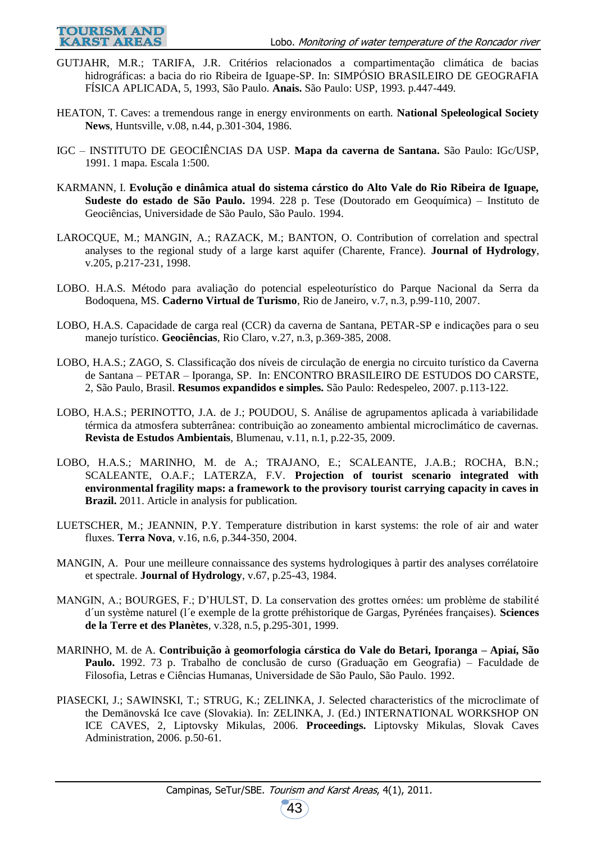- **TOURISM AND KARST AREAS**
- GUTJAHR, M.R.; TARIFA, J.R. Critérios relacionados a compartimentação climática de bacias hidrográficas: a bacia do rio Ribeira de Iguape-SP. In: SIMPÓSIO BRASILEIRO DE GEOGRAFIA FÍSICA APLICADA, 5, 1993, São Paulo. **Anais.** São Paulo: USP, 1993. p.447-449.
- HEATON, T. Caves: a tremendous range in energy environments on earth. **National Speleological Society News**, Huntsville, v.08, n.44, p.301-304, 1986.
- IGC INSTITUTO DE GEOCIÊNCIAS DA USP. **Mapa da caverna de Santana.** São Paulo: IGc/USP, 1991. 1 mapa. Escala 1:500.
- KARMANN, I. **Evolução e dinâmica atual do sistema cárstico do Alto Vale do Rio Ribeira de Iguape, Sudeste do estado de São Paulo.** 1994. 228 p. Tese (Doutorado em Geoquímica) – Instituto de Geociências, Universidade de São Paulo, São Paulo. 1994.
- LAROCQUE, M.; MANGIN, A.; RAZACK, M.; BANTON, O. Contribution of correlation and spectral analyses to the regional study of a large karst aquifer (Charente, France). **Journal of Hydrology**, v.205, p.217-231, 1998.
- LOBO. H.A.S. Método para avaliação do potencial espeleoturístico do Parque Nacional da Serra da Bodoquena, MS. **Caderno Virtual de Turismo**, Rio de Janeiro, v.7, n.3, p.99-110, 2007.
- LOBO, H.A.S. Capacidade de carga real (CCR) da caverna de Santana, PETAR-SP e indicações para o seu manejo turístico. **Geociências**, Rio Claro, v.27, n.3, p.369-385, 2008.
- LOBO, H.A.S.; ZAGO, S. Classificação dos níveis de circulação de energia no circuito turístico da Caverna de Santana – PETAR – Iporanga, SP. In: ENCONTRO BRASILEIRO DE ESTUDOS DO CARSTE, 2, São Paulo, Brasil. **Resumos expandidos e simples.** São Paulo: Redespeleo, 2007. p.113-122.
- LOBO, H.A.S.; PERINOTTO, J.A. de J.; POUDOU, S. Análise de agrupamentos aplicada à variabilidade térmica da atmosfera subterrânea: contribuição ao zoneamento ambiental microclimático de cavernas. **Revista de Estudos Ambientais**, Blumenau, v.11, n.1, p.22-35, 2009.
- LOBO, H.A.S.; MARINHO, M. de A.; TRAJANO, E.; SCALEANTE, J.A.B.; ROCHA, B.N.; SCALEANTE, O.A.F.; LATERZA, F.V. **Projection of tourist scenario integrated with environmental fragility maps: a framework to the provisory tourist carrying capacity in caves in Brazil.** 2011. Article in analysis for publication.
- LUETSCHER, M.; JEANNIN, P.Y. Temperature distribution in karst systems: the role of air and water fluxes. **Terra Nova**, v.16, n.6, p.344-350, 2004.
- MANGIN, A. Pour une meilleure connaissance des systems hydrologiques à partir des analyses corrélatoire et spectrale. **Journal of Hydrology**, v.67, p.25-43, 1984.
- MANGIN, A.; BOURGES, F.; D'HULST, D. La conservation des grottes ornées: um problème de stabilité d´un système naturel (l´e exemple de la grotte préhistorique de Gargas, Pyrénées françaises). **Sciences de la Terre et des Planètes**, v.328, n.5, p.295-301, 1999.
- MARINHO, M. de A. **Contribuição à geomorfologia cárstica do Vale do Betari, Iporanga – Apiaí, São Paulo.** 1992. 73 p. Trabalho de conclusão de curso (Graduação em Geografia) – Faculdade de Filosofia, Letras e Ciências Humanas, Universidade de São Paulo, São Paulo. 1992.
- PIASECKI, J.; SAWINSKI, T.; STRUG, K.; ZELINKA, J. Selected characteristics of the microclimate of the Demänovská Ice cave (Slovakia). In: ZELINKA, J. (Ed.) INTERNATIONAL WORKSHOP ON ICE CAVES, 2, Liptovsky Mikulas, 2006. **Proceedings.** Liptovsky Mikulas, Slovak Caves Administration, 2006. p.50-61.

43